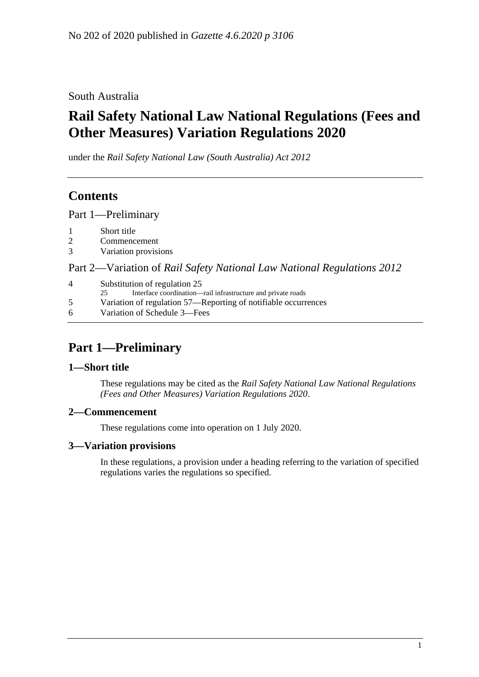South Australia

# **Rail Safety National Law National Regulations (Fees and Other Measures) Variation Regulations 2020**

under the *Rail Safety National Law (South Australia) Act 2012*

# **Contents**

Part [1—Preliminary](#page-0-0)

- 2 [Commencement](#page-0-2)
- 3 [Variation provisions](#page-0-3)

Part 2—Variation of *[Rail Safety National Law National Regulations](#page-1-0) 2012*

| 4 | Substitution of regulation 25<br>Interface coordination—rail infrastructure and private roads<br>25. |
|---|------------------------------------------------------------------------------------------------------|
| 5 | Variation of regulation 57—Reporting of notifiable occurrences                                       |
| 6 | Variation of Schedule 3—Fees                                                                         |
|   |                                                                                                      |

# <span id="page-0-0"></span>**Part 1—Preliminary**

## <span id="page-0-1"></span>**1—Short title**

These regulations may be cited as the *Rail Safety National Law National Regulations (Fees and Other Measures) Variation Regulations 2020*.

## <span id="page-0-2"></span>**2—Commencement**

These regulations come into operation on 1 July 2020.

## <span id="page-0-3"></span>**3—Variation provisions**

In these regulations, a provision under a heading referring to the variation of specified regulations varies the regulations so specified.